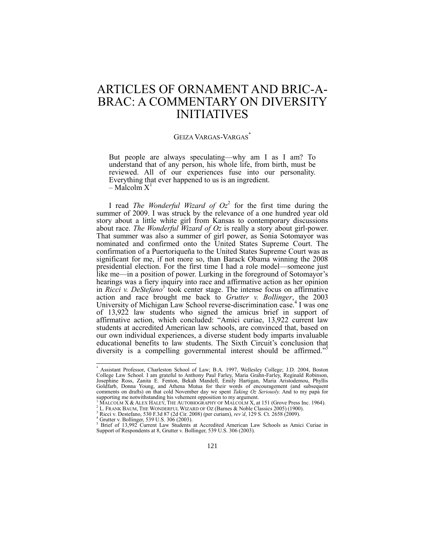# ARTICLES OF ORNAMENT AND BRIC-A-BRAC: A COMMENTARY ON DIVERSITY INITIATIVES

## <span id="page-0-0"></span>GEIZA VARGAS-VARGAS\*

<span id="page-0-1"></span>But people are always speculating—why am I as I am? To understand that of any person, his whole life, from birth, must be reviewed. All of our experiences fuse into our personality. Everything that ever happened to us is an ingredient. – Malcolm  $X<sup>1</sup>$ 

I read *The Wonderful Wizard of*  $Oz^2$  for the first time during the summer of 2009. I was struck by the relevance of a one hundred year old story about a little white girl from Kansas to contemporary discussions about race. *The Wonderful Wizard of Oz* is really a story about girl-power. That summer was also a summer of girl power, as Sonia Sotomayor was nominated and confirmed onto the United States Supreme Court. The confirmation of a Puertoriqueña to the United States Supreme Court was as significant for me, if not more so, than Barack Obama winning the 2008 presidential election. For the first time I had a role model—someone just like me—in a position of power. Lurking in the foreground of Sotomayor's hearings was a fiery inquiry into race and affirmative action as her opinion in *Ricci v. DeStefano*<sup>3</sup> took center stage. The intense focus on affirmative action and race brought me back to *Grutter v. Bollinger*, the 2003 University of Michigan Law School reverse-discrimination case.<sup>4</sup> I was one of 13,922 law students who signed the amicus brief in support of affirmative action, which concluded: "Amici curiae, 13,922 current law students at accredited American law schools, are convinced that, based on our own individual experiences, a diverse student body imparts invaluable educational benefits to law students. The Sixth Circuit's conclusion that diversity is a compelling governmental interest should be affirmed."<sup>5</sup>

<sup>\*</sup> Assistant Professor, Charleston School of Law; B.A. 1997, Wellesley College; J.D. 2004, Boston College Law School. I am grateful to Anthony Paul Farley, Maria Grahn-Farley, Reginald Robinson, Josephine Ross, Zanita E. Fenton, Bekah Mandell, Emily Hartigan, Maria Aristodemou, Phyllis Goldfarb, Donna Young, and Athena Mutua for their words of encouragement (and subsequent comments on drafts) on that cold November day we spent *Taking Oz Seriously.* And to my papá for supporting me notwithstanding his vehement opposition to my argument.

MALCOLM X & ALEX HALEY, THE AUTOBIOGRAPHY OF MALCOLM X, at 151 (Grove Press Inc. 1964).

<sup>&</sup>lt;sup>2</sup> L. FRANK BAUM, THE WONDERFUL WIZARD OF OZ (Barnes & Noble Classics 2005) (1900).

<sup>3</sup> Ricci v. Destefano, 530 F.3d 87 (2d Cir. 2008) (per curiam), *rev'd*, 129 S. Ct. 2658 (2009).

<sup>4</sup> Grutter v. Bollinger, 539 U.S. 306 (2003).

<sup>&</sup>lt;sup>5</sup> Brief of 13,992 Current Law Students at Accredited American Law Schools as Amici Curiae in Support of Respondents at 8, Grutter v. Bollinger, 539 U.S. 306 (2003).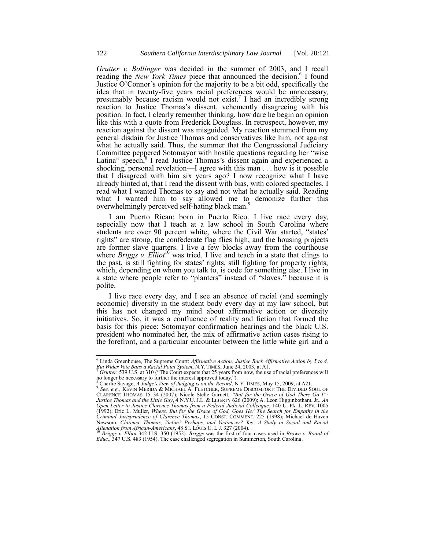*Grutter v. Bollinger* was decided in the summer of 2003, and I recall reading the *New York Times* piece that announced the decision.<sup>6</sup> I found Justice O'Connor's opinion for the majority to be a bit odd, specifically the idea that in twenty-five years racial preferences would be unnecessary, presumably because racism would not exist.<sup>7</sup> I had an incredibly strong reaction to Justice Thomas's dissent, vehemently disagreeing with his position. In fact, I clearly remember thinking, how dare he begin an opinion like this with a quote from Frederick Douglass. In retrospect, however, my reaction against the dissent was misguided. My reaction stemmed from my general disdain for Justice Thomas and conservatives like him, not against what he actually said. Thus, the summer that the Congressional Judiciary Committee peppered Sotomayor with hostile questions regarding her "wise" Latina" speech,<sup>8</sup> I read Justice Thomas's dissent again and experienced a shocking, personal revelation—I agree with this man . . . how is it possible that I disagreed with him six years ago? I now recognize what I have already hinted at, that I read the dissent with bias, with colored spectacles. I read what I wanted Thomas to say and not what he actually said. Reading what I wanted him to say allowed me to demonize further this overwhelmingly perceived self-hating black man.<sup>9</sup>

I am Puerto Rican; born in Puerto Rico. I live race every day, especially now that I teach at a law school in South Carolina where students are over 90 percent white, where the Civil War started, "states' rights" are strong, the confederate flag flies high, and the housing projects are former slave quarters. I live a few blocks away from the courthouse where *Briggs v. Elliot*<sup>10</sup> was tried. I live and teach in a state that clings to the past, is still fighting for states' rights, still fighting for property rights, which, depending on whom you talk to, is code for something else. I live in a state where people refer to "planters" instead of "slaves," because it is polite.

I live race every day, and I see an absence of racial (and seemingly economic) diversity in the student body every day at my law school, but this has not changed my mind about affirmative action or diversity initiatives. So, it was a confluence of reality and fiction that formed the basis for this piece: Sotomayor confirmation hearings and the black U.S. president who nominated her, the mix of affirmative action cases rising to the forefront, and a particular encounter between the little white girl and a

<sup>6</sup> Linda Greenhouse, The Supreme Court: *Affirmative Action; Justice Back Affirmative Action by 5 to 4, But Wider Vote Bans a Racial Point System*, N.Y. TIMES, June 24, 2003, at A1.

*Grutter*, 539 U.S. at 310 ("The Court expects that 25 years from now, the use of racial preferences will no longer be necessary to further the interest approved today.").<br><sup>8</sup> Charlie Savage, *A Judge's View of Judging is on the Record*, N.Y. TIMES, May 15, 2009, at A21.

<sup>&</sup>lt;sup>9</sup> See, e.g., KEVIN MERIDA & MICHAEL A. FLETCHER, SUPREME DISCOMFORT: THE DIVIDED SOUL OF<br>CLARENCE THOMAS 15–34 (2007); Nicole Stelle Garnett, *"But for the Grace of God There Go I"*: *Justice Thomas and the Little Guy*, 4 N.Y.U. J.L. & LIBERTY 626 (2009); A. Leon Higginbotham, Jr., *An Open Letter to Justice Clarence Thomas from a Federal Judicial Colleague*, 140 U. PA. L. REV. 1005 (1992); Eric L. Muller, *Where, But for the Grace of God, Goes He? The Search for Empathy in the Criminal Jurisprudence of Clarence Thomas*, 15 CONST. COMMENT. 225 (1998); Michael de Haven Newsom, Clarence Thomas, Victim? Perhaps, and Victimizer? Yes—A Study in Social and Racial<br>Alienation from African-Americans, 48 ST. LOUIS U. L.J. 327 (2004).<br><sup>10</sup> Briggs v. Elliot 342 U.S. 350 (1952). Briggs was the first

*Educ.*, 347 U.S. 483 (1954). The case challenged segregation in Summerton, South Carolina.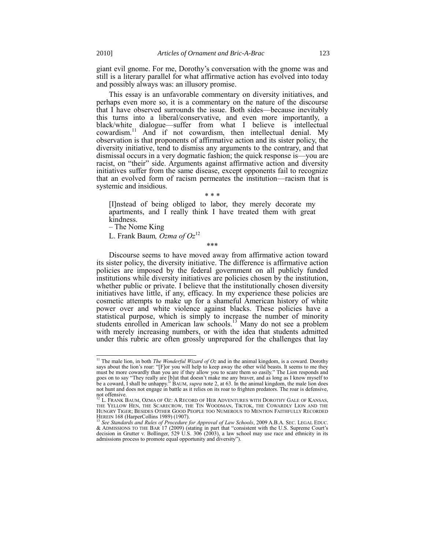giant evil gnome. For me, Dorothy's conversation with the gnome was and still is a literary parallel for what affirmative action has evolved into today and possibly always was: an illusory promise.

This essay is an unfavorable commentary on diversity initiatives, and perhaps even more so, it is a commentary on the nature of the discourse that I have observed surrounds the issue. Both sides—because inevitably this turns into a liberal/conservative, and even more importantly, a black/white dialogue—suffer from what I believe is intellectual cowardism.<sup>11</sup> And if not cowardism, then intellectual denial. My observation is that proponents of affirmative action and its sister policy, the diversity initiative, tend to dismiss any arguments to the contrary, and that dismissal occurs in a very dogmatic fashion; the quick response is—you are racist, on "their" side. Arguments against affirmative action and diversity initiatives suffer from the same disease, except opponents fail to recognize that an evolved form of racism permeates the institution—racism that is systemic and insidious.

## \* \* \*

[I]nstead of being obliged to labor, they merely decorate my apartments, and I really think I have treated them with great kindness.

– The Nome King

l

L. Frank Baum*, Ozma of Oz*<sup>12</sup>

<span id="page-2-0"></span>\*\*\*

Discourse seems to have moved away from affirmative action toward its sister policy, the diversity initiative. The difference is affirmative action policies are imposed by the federal government on all publicly funded institutions while diversity initiatives are policies chosen by the institution, whether public or private. I believe that the institutionally chosen diversity initiatives have little, if any, efficacy. In my experience these policies are cosmetic attempts to make up for a shameful American history of white power over and white violence against blacks. These policies have a statistical purpose, which is simply to increase the number of minority students enrolled in American law schools.<sup>13</sup> Many do not see a problem with merely increasing numbers, or with the idea that students admitted under this rubric are often grossly unprepared for the challenges that lay

<sup>11</sup> The male lion, in both *The Wonderful Wizard of Oz* and in the animal kingdom, is a coward. Dorothy says about the lion's roar: "[F]or you will help to keep away the other wild beasts. It seems to me they must be more cowardly than you are if they allow you to scare them so easily." The Lion responds and goes on to say "They really are [b]ut that doesn't make me any braver, and as long as I know myself to be a coward, I shall be unhappy.<sup>"</sup> BAUM, *supra* not[e 2,](#page-0-0) at 63. In the animal kingdom, the male lion does not hunt and does not engage in battle as it relies on its roar to frighten predators. The roar is defensive,

not offensive.<br><sup>12</sup> L. Frank Baum, Ozma of Oz: A Record of Her Adventures with Dorothy Gale of Kansas, THE YELLOW HEN, THE SCARECROW, THE TIN WOODMAN, TIKTOK, THE COWARDLY LION AND THE HUNGRY TIGER; BESIDES OTHER GOOD PEOPLE TOO NUMEROUS TO MENTION FAITHFULLY RECORDED HEREIN 168 (HarperCollins 1989) (1907).

<sup>&</sup>lt;sup>13</sup> See Standards and Rules of Procedure for Approval of Law Schools, 2009 A.B.A. SEC. LEGAL EDUC.<br>& ADMISSIONS TO THE BAR 17 (2009) (stating in part that "consistent with the U.S. Supreme Court's decision in Grutter v. Bollinger, 529 U.S. 306 (2003), a law school may use race and ethnicity in its admissions process to promote equal opportunity and diversity").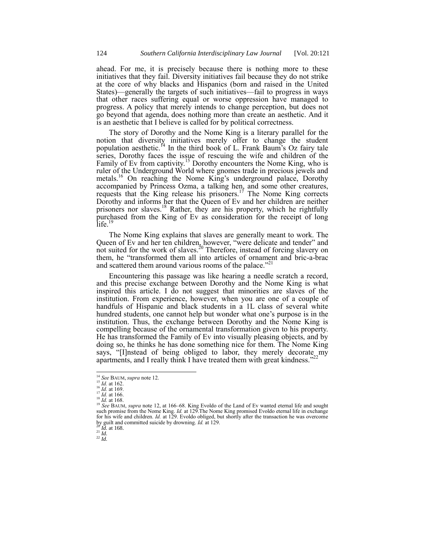ahead. For me, it is precisely because there is nothing more to these initiatives that they fail. Diversity initiatives fail because they do not strike at the core of why blacks and Hispanics (born and raised in the United States)—generally the targets of such initiatives—fail to progress in ways that other races suffering equal or worse oppression have managed to progress. A policy that merely intends to change perception, but does not go beyond that agenda, does nothing more than create an aesthetic. And it is an aesthetic that I believe is called for by political correctness.

The story of Dorothy and the Nome King is a literary parallel for the notion that diversity initiatives merely offer to change the student population aesthetic.<sup> $14$ </sup> In the third book of L. Frank Baum's Oz fairy tale series, Dorothy faces the issue of rescuing the wife and children of the Family of Ev from captivity.<sup>15</sup> Dorothy encounters the Nome King, who is ruler of the Underground World where gnomes trade in precious jewels and metals.<sup>16</sup> On reaching the Nome King's underground palace, Dorothy accompanied by Princess Ozma, a talking hen, and some other creatures, requests that the King release his prisoners.<sup>17</sup> The Nome King corrects Dorothy and informs her that the Queen of Ev and her children are neither prisoners nor slaves.<sup>18</sup> Rather, they are his property, which he rightfully purchased from the King of Ev as consideration for the receipt of long  $\text{life}$ .

The Nome King explains that slaves are generally meant to work. The Queen of Ev and her ten children, however, "were delicate and tender" and not suited for the work of slaves.<sup>20</sup> Therefore, instead of forcing slavery on them, he "transformed them all into articles of ornament and bric-a-brac and scattered them around various rooms of the palace."<sup>21</sup>

Encountering this passage was like hearing a needle scratch a record, and this precise exchange between Dorothy and the Nome King is what inspired this article. I do not suggest that minorities are slaves of the institution. From experience, however, when you are one of a couple of handfuls of Hispanic and black students in a 1L class of several white hundred students, one cannot help but wonder what one's purpose is in the institution. Thus, the exchange between Dorothy and the Nome King is compelling because of the ornamental transformation given to his property. He has transformed the Family of Ev into visually pleasing objects, and by doing so, he thinks he has done something nice for them. The Nome King says, "[I]nstead of being obliged to labor, they merely decorate my energy and  $\frac{1}{2}$ apartments, and I really think I have treated them with great kindness."

<sup>16</sup> *Id.* at 169.

l

<sup>21</sup> *Id.*

<sup>22</sup> *Id.*

<sup>14</sup> *See* BAUM, *supra* not[e 12.](#page-2-0)

 $^{15}$  *Id.* at 162.

<sup>17</sup> *Id.* at 166. <sup>18</sup> *Id.* at 168.

<sup>&</sup>lt;sup>19</sup> See BAUM, *supra* not[e 12,](#page-2-0) at 166–68. King Evoldo of the Land of Ev wanted eternal life and sought such promise from the Nome King. *Id.* at 129. The Nome King promised Evoldo eternal life in exchange for his wife and children. *Id.* at 129. Evoldo obliged, but shortly after the transaction he was overcome by guilt and committed suicide by drowning. *Id.* at 129. <sup>20</sup> *Id.* at 168.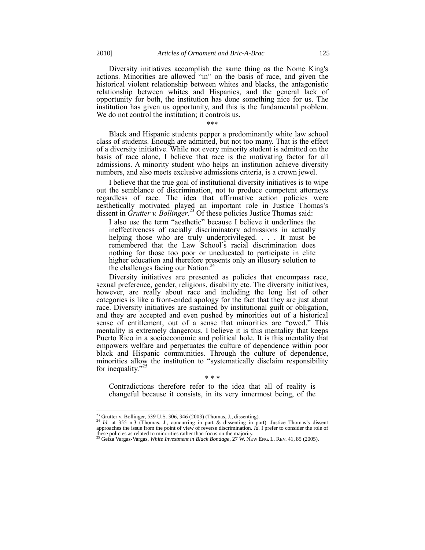Diversity initiatives accomplish the same thing as the Nome King's actions. Minorities are allowed "in" on the basis of race, and given the historical violent relationship between whites and blacks, the antagonistic relationship between whites and Hispanics, and the general lack of opportunity for both, the institution has done something nice for us. The institution has given us opportunity, and this is the fundamental problem. We do not control the institution; it controls us.

\*\*\*

Black and Hispanic students pepper a predominantly white law school class of students. Enough are admitted, but not too many. That is the effect of a diversity initiative. While not every minority student is admitted on the basis of race alone, I believe that race is the motivating factor for all admissions. A minority student who helps an institution achieve diversity numbers, and also meets exclusive admissions criteria, is a crown jewel.

I believe that the true goal of institutional diversity initiatives is to wipe out the semblance of discrimination, not to produce competent attorneys regardless of race. The idea that affirmative action policies were aesthetically motivated played an important role in Justice Thomas's dissent in *Grutter v. Bollinger*. <sup>23</sup> Of these policies Justice Thomas said:

I also use the term "aesthetic" because I believe it underlines the ineffectiveness of racially discriminatory admissions in actually helping those who are truly underprivileged. . . . It must be remembered that the Law School's racial discrimination does nothing for those too poor or uneducated to participate in elite higher education and therefore presents only an illusory solution to the challenges facing our Nation.<sup>24</sup>

Diversity initiatives are presented as policies that encompass race, sexual preference, gender, religions, disability etc. The diversity initiatives, however, are really about race and including the long list of other categories is like a front-ended apology for the fact that they are just about race. Diversity initiatives are sustained by institutional guilt or obligation, and they are accepted and even pushed by minorities out of a historical sense of entitlement, out of a sense that minorities are "owed." This mentality is extremely dangerous. I believe it is this mentality that keeps Puerto Rico in a socioeconomic and political hole. It is this mentality that empowers welfare and perpetuates the culture of dependence within poor black and Hispanic communities. Through the culture of dependence, minorities allow the institution to "systematically disclaim responsibility for inequality."

#### \* \* \*

Contradictions therefore refer to the idea that all of reality is changeful because it consists, in its very innermost being, of the

l  $^{23}$  Grutter v. Bollinger, 539 U.S. 306, 346 (2003) (Thomas, J., dissenting).

<sup>&</sup>lt;sup>24</sup> *Id.* at 355 n.3 (Thomas, J., concurring in part & dissenting in part). Justice Thomas's dissent approaches the issue from the point of view of reverse discrimination. *Id.* I prefer to consider the role of these policies as related to minorities rather than focus on the majority. <sup>25</sup> Geiza Vargas-Vargas, *White Investment in Black Bondage*, 27 W. NEW ENG. L. REV. 41, 85 (2005).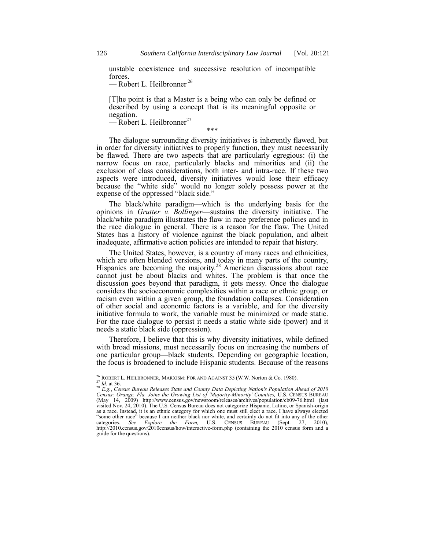unstable coexistence and successive resolution of incompatible forces.

— Robert L. Heilbronner<sup>26</sup>

[T]he point is that a Master is a being who can only be defined or described by using a concept that is its meaningful opposite or negation.

 $-$  Robert L. Heilbronner<sup>27</sup>

\*\*\*

The dialogue surrounding diversity initiatives is inherently flawed, but in order for diversity initiatives to properly function, they must necessarily be flawed. There are two aspects that are particularly egregious: (i) the narrow focus on race, particularly blacks and minorities and (ii) the exclusion of class considerations, both inter- and intra-race. If these two aspects were introduced, diversity initiatives would lose their efficacy because the "white side" would no longer solely possess power at the expense of the oppressed "black side."

The black/white paradigm—which is the underlying basis for the opinions in *Grutter v. Bollinger*—sustains the diversity initiative. The black/white paradigm illustrates the flaw in race preference policies and in the race dialogue in general. There is a reason for the flaw. The United States has a history of violence against the black population, and albeit inadequate, affirmative action policies are intended to repair that history.

The United States, however, is a country of many races and ethnicities, which are often blended versions, and today in many parts of the country, Hispanics are becoming the majority.<sup>28</sup> American discussions about race cannot just be about blacks and whites. The problem is that once the discussion goes beyond that paradigm, it gets messy. Once the dialogue considers the socioeconomic complexities within a race or ethnic group, or racism even within a given group, the foundation collapses. Consideration of other social and economic factors is a variable, and for the diversity initiative formula to work, the variable must be minimized or made static. For the race dialogue to persist it needs a static white side (power) and it needs a static black side (oppression).

Therefore, I believe that this is why diversity initiatives, while defined with broad missions, must necessarily focus on increasing the numbers of one particular group—black students. Depending on geographic location, the focus is broadened to include Hispanic students. Because of the reasons

 $^{26}$  ROBERT L. HEILBRONNER, MARXISM: FOR AND AGAINST 35 (W.W. Norton & Co. 1980).

 $\frac{27}{10}$ *Id.* at 36.

<sup>28</sup> *E.g.*, *Census Bureau Releases State and County Data Depicting Nation's Population Ahead of 2010 Census: Orange, Fla. Joins the Growing List of 'Majority-Minority' Counties,* U.S. CENSUS BUREAU (May 14, 2009) http://www.census.gov/newsroom/releases/archives/population/cb09-76.html (last visited Nov. 24, 2010). The U.S. Census Bureau does not categorize Hispanic, Latino, or Spanish-origin as a race. Instead, it is an ethnic category for which one must still elect a race. I have always elected ―some other race‖ because I am neither black nor white, and certainly do not fit into any of the other categories. *See Explore the Form,* U.S. CENSUS BUREAU (Sept. 27, 2010), http://2010.census.gov/2010census/how/interactive-form.php (containing the 2010 census form and a guide for the questions).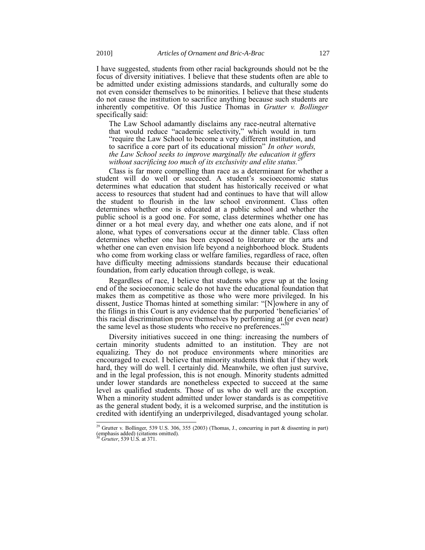I have suggested, students from other racial backgrounds should not be the focus of diversity initiatives. I believe that these students often are able to be admitted under existing admissions standards, and culturally some do not even consider themselves to be minorities. I believe that these students do not cause the institution to sacrifice anything because such students are inherently competitive. Of this Justice Thomas in *Grutter v. Bollinger* specifically said:

The Law School adamantly disclaims any race-neutral alternative that would reduce "academic selectivity," which would in turn ―require the Law School to become a very different institution, and to sacrifice a core part of its educational mission" In other words, *the Law School seeks to improve marginally the education it offers*  without sacrificing too much of its exclusivity and elite status.

Class is far more compelling than race as a determinant for whether a student will do well or succeed. A student's socioeconomic status determines what education that student has historically received or what access to resources that student had and continues to have that will allow the student to flourish in the law school environment. Class often determines whether one is educated at a public school and whether the public school is a good one. For some, class determines whether one has dinner or a hot meal every day, and whether one eats alone, and if not alone, what types of conversations occur at the dinner table. Class often determines whether one has been exposed to literature or the arts and whether one can even envision life beyond a neighborhood block. Students who come from working class or welfare families, regardless of race, often have difficulty meeting admissions standards because their educational foundation, from early education through college, is weak.

Regardless of race, I believe that students who grew up at the losing end of the socioeconomic scale do not have the educational foundation that makes them as competitive as those who were more privileged. In his dissent, Justice Thomas hinted at something similar: "[N]owhere in any of the filings in this Court is any evidence that the purported ‗beneficiaries' of this racial discrimination prove themselves by performing at (or even near) the same level as those students who receive no preferences.

Diversity initiatives succeed in one thing: increasing the numbers of certain minority students admitted to an institution. They are not equalizing. They do not produce environments where minorities are encouraged to excel. I believe that minority students think that if they work hard, they will do well. I certainly did. Meanwhile, we often just survive, and in the legal profession, this is not enough. Minority students admitted under lower standards are nonetheless expected to succeed at the same level as qualified students. Those of us who do well are the exception. When a minority student admitted under lower standards is as competitive as the general student body, it is a welcomed surprise, and the institution is credited with identifying an underprivileged, disadvantaged young scholar.

 $\overline{a}$ 

<sup>&</sup>lt;sup>29</sup> Grutter v. Bollinger, 539 U.S. 306, 355 (2003) (Thomas, J., concurring in part & dissenting in part) (emphasis added) (citations omitted).

<sup>30</sup> *Grutter*, 539 U.S. at 371.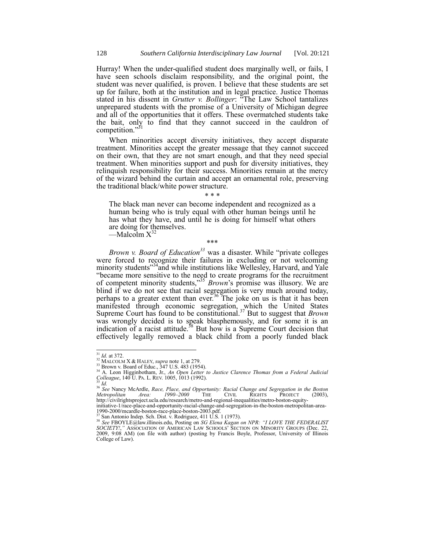Hurray! When the under-qualified student does marginally well, or fails, I have seen schools disclaim responsibility, and the original point, the student was never qualified, is proven. I believe that these students are set up for failure, both at the institution and in legal practice. Justice Thomas stated in his dissent in *Grutter v. Bollinger*: "The Law School tantalizes unprepared students with the promise of a University of Michigan degree and all of the opportunities that it offers. These overmatched students take the bait, only to find that they cannot succeed in the cauldron of competition." $31$ 

When minorities accept diversity initiatives, they accept disparate treatment. Minorities accept the greater message that they cannot succeed on their own, that they are not smart enough, and that they need special treatment. When minorities support and push for diversity initiatives, they relinquish responsibility for their success. Minorities remain at the mercy of the wizard behind the curtain and accept an ornamental role, preserving the traditional black/white power structure.

## \* \* \*

The black man never can become independent and recognized as a human being who is truly equal with other human beings until he has what they have, and until he is doing for himself what others are doing for themselves.

<span id="page-7-0"></span> $-Malc$ <sub>0</sub> m  $X^{32}$ 

\*\*\*

*Brown v. Board of Education*<sup>33</sup> was a disaster. While "private colleges were forced to recognize their failures in excluding or not welcoming minority students<sup>334</sup>and while institutions like Wellesley, Harvard, and Yale ―became more sensitive to the need to create programs for the recruitment of competent minority students,<sup>35</sup> *Brown*'s promise was illusory. We are blind if we do not see that racial segregation is very much around today, perhaps to a greater extent than ever.<sup>36</sup> The joke on us is that it has been manifested through economic segregation, which the United States Supreme Court has found to be constitutional.<sup>37</sup> But to suggest that *Brown* was wrongly decided is to speak blasphemously, and for some it is an indication of a racist attitude.<sup>38</sup> But how is a Supreme Court decision that effectively legally removed a black child from a poorly funded black

 $^{31}$  *Id.* at 372.

<sup>&</sup>lt;sup>32</sup> MALCOLM X & HALEY, *supra* not[e 1,](#page-0-1) at 279.

<sup>33</sup> Brown v. Board of Educ., 347 U.S. 483 (1954).

<sup>34</sup> A. Leon Higginbotham, Jr., *An Open Letter to Justice Clarence Thomas from a Federal Judicial Colleague*, 140 U. PA. L. REV. 1005, 1013 (1992).

<sup>35</sup> *Id.*

<sup>&</sup>lt;sup>36</sup> See Nancy McArdle, *Race, Place, and Opportunity: Racial Change and Segregation in the Boston <i>Metropolitan Area:* 1990–2000 THE CIVIL RIGHTS PROJECT (2003), http://civilrightsproject.ucla.edu/research/metro-and-regional-inequalities/metro-boston-equity-

initiative-1/race-place-and-opportunity-racial-change-and-segregation-in-the-boston-metropolitan-area-1990-2000/mcardle-boston-race-place-boston-2003.pdf. <sup>37</sup> San Antonio Indep. Sch. Dist. v. Rodriguez, 411 U.S. 1 (1973).

<sup>&</sup>lt;sup>38</sup> See FBOYLE@law.illinois.edu, Posting on *SG Elena Kagan on NPR: "I LOVE THE FEDERALIST SOCIETY!,"* Association of American Law Schools' Section on Minority Groups (Dec. 22, 2009, 9:08 AM) (on file with author) (posting by Francis Boyle, Professor, University of Illinois College of Law).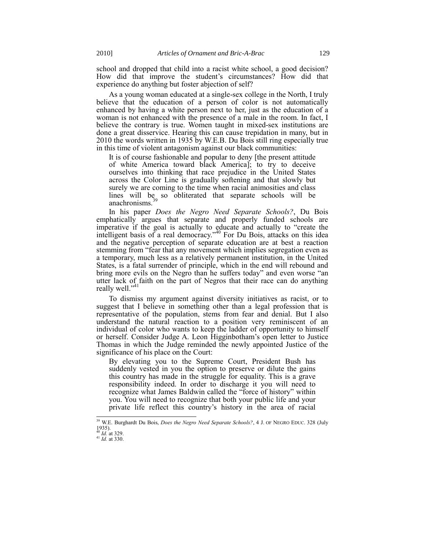school and dropped that child into a racist white school, a good decision? How did that improve the student's circumstances? How did that experience do anything but foster abjection of self?

As a young woman educated at a single-sex college in the North, I truly believe that the education of a person of color is not automatically enhanced by having a white person next to her, just as the education of a woman is not enhanced with the presence of a male in the room. In fact, I believe the contrary is true. Women taught in mixed-sex institutions are done a great disservice. Hearing this can cause trepidation in many, but in 2010 the words written in 1935 by W.E.B. Du Bois still ring especially true in this time of violent antagonism against our black communities:

It is of course fashionable and popular to deny [the present attitude of white America toward black America]; to try to deceive ourselves into thinking that race prejudice in the United States across the Color Line is gradually softening and that slowly but surely we are coming to the time when racial animosities and class lines will be so obliterated that separate schools will be anachronisms.

In his paper *Does the Negro Need Separate Schools?*, Du Bois emphatically argues that separate and properly funded schools are imperative if the goal is actually to educate and actually to "create the intelligent basis of a real democracy.<sup>40</sup> For Du Bois, attacks on this idea and the negative perception of separate education are at best a reaction stemming from "fear that any movement which implies segregation even as a temporary, much less as a relatively permanent institution, in the United States, is a fatal surrender of principle, which in the end will rebound and bring more evils on the Negro than he suffers today" and even worse "an utter lack of faith on the part of Negros that their race can do anything really well."<sup>41</sup>

To dismiss my argument against diversity initiatives as racist, or to suggest that I believe in something other than a legal profession that is representative of the population, stems from fear and denial. But I also understand the natural reaction to a position very reminiscent of an individual of color who wants to keep the ladder of opportunity to himself or herself. Consider Judge A. Leon Higginbotham's open letter to Justice Thomas in which the Judge reminded the newly appointed Justice of the significance of his place on the Court:

By elevating you to the Supreme Court, President Bush has suddenly vested in you the option to preserve or dilute the gains this country has made in the struggle for equality. This is a grave responsibility indeed. In order to discharge it you will need to recognize what James Baldwin called the "force of history" within you. You will need to recognize that both your public life and your private life reflect this country's history in the area of racial

<sup>39</sup> W.E. Burghardt Du Bois, *Does the Negro Need Separate Schools?*, 4 J. OF NEGRO EDUC. 328 (July  $1935$ ). *Id.* at 329.

 $^{41}$  *Id.* at 330.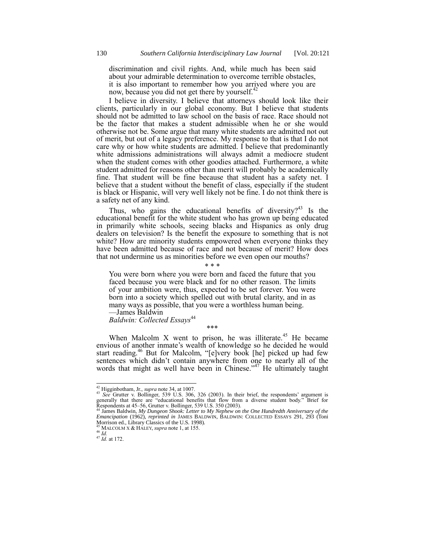discrimination and civil rights. And, while much has been said about your admirable determination to overcome terrible obstacles, it is also important to remember how you arrived where you are now, because you did not get there by yourself.<sup>42</sup>

I believe in diversity. I believe that attorneys should look like their clients, particularly in our global economy. But I believe that students should not be admitted to law school on the basis of race. Race should not be the factor that makes a student admissible when he or she would otherwise not be. Some argue that many white students are admitted not out of merit, but out of a legacy preference. My response to that is that I do not care why or how white students are admitted. I believe that predominantly white admissions administrations will always admit a mediocre student when the student comes with other goodies attached. Furthermore, a white student admitted for reasons other than merit will probably be academically fine. That student will be fine because that student has a safety net. I believe that a student without the benefit of class, especially if the student is black or Hispanic, will very well likely not be fine. I do not think there is a safety net of any kind.

Thus, who gains the educational benefits of diversity?<sup>43</sup> Is the educational benefit for the white student who has grown up being educated in primarily white schools, seeing blacks and Hispanics as only drug dealers on television? Is the benefit the exposure to something that is not white? How are minority students empowered when everyone thinks they have been admitted because of race and not because of merit? How does that not undermine us as minorities before we even open our mouths?

You were born where you were born and faced the future that you faced because you were black and for no other reason. The limits of your ambition were, thus, expected to be set forever. You were born into a society which spelled out with brutal clarity, and in as many ways as possible, that you were a worthless human being. —James Baldwin

\* \* \*

*Baldwin: Collected Essays*<sup>44</sup>

\*\*\*

When Malcolm  $X$  went to prison, he was illiterate.<sup>45</sup> He became envious of another inmate's wealth of knowledge so he decided he would start reading.<sup>46</sup> But for Malcolm, "[e]very book [he] picked up had few sentences which didn't contain anywhere from one to nearly all of the words that might as well have been in Chinese.<sup> $347$ </sup> He ultimately taught

<sup>42</sup> Higginbotham, Jr., *supra* not[e 34,](#page-7-0) at 1007. <sup>43</sup> *See* Grutter v. Bollinger, 539 U.S. 306, 326 (2003). In their brief, the respondents' argument is generally that there are "educational benefits that flow from a diverse student body." Brief for Respondents at 45–56, Grutter v. Bollinger, 539 U.S. 350 (2003). <sup>44</sup> James Baldwin, *My Dungeon Shook: Letter to My Nephew on the One Hundredth Anniversary of the* 

*Emancipation* (1962), *reprinted in* JAMES BALDWIN, BALDWIN: COLLECTED ESSAYS 291, 293 (Toni Morrison ed., Library Classics of the U.S. 1998).

MALCOLM X & HALEY, *supra* not[e 1,](#page-0-1) at 155.

<sup>46</sup> *Id.*

<sup>47</sup> *Id.* at 172.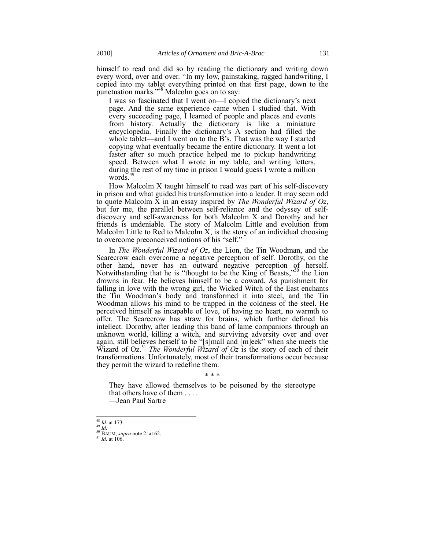himself to read and did so by reading the dictionary and writing down every word, over and over. "In my low, painstaking, ragged handwriting, I copied into my tablet everything printed on that first page, down to the punctuation marks." $48$  Malcolm goes on to say:

I was so fascinated that I went on—I copied the dictionary's next page. And the same experience came when I studied that. With every succeeding page, I learned of people and places and events from history. Actually the dictionary is like a miniature encyclopedia. Finally the dictionary's A section had filled the whole tablet—and I went on to the  $\vec{B}$ 's. That was the way I started copying what eventually became the entire dictionary. It went a lot faster after so much practice helped me to pickup handwriting speed. Between what I wrote in my table, and writing letters, during the rest of my time in prison I would guess I wrote a million words.

How Malcolm X taught himself to read was part of his self-discovery in prison and what guided his transformation into a leader. It may seem odd to quote Malcolm X in an essay inspired by *The Wonderful Wizard of Oz*, but for me, the parallel between self-reliance and the odyssey of selfdiscovery and self-awareness for both Malcolm X and Dorothy and her friends is undeniable. The story of Malcolm Little and evolution from Malcolm Little to Red to Malcolm X, is the story of an individual choosing to overcome preconceived notions of his "self."

In *The Wonderful Wizard of Oz*, the Lion, the Tin Woodman, and the Scarecrow each overcome a negative perception of self. Dorothy, on the other hand, never has an outward negative perception of herself. Notwithstanding that he is "thought to be the King of Beasts," $50$  the Lion drowns in fear. He believes himself to be a coward. As punishment for falling in love with the wrong girl, the Wicked Witch of the East enchants the Tin Woodman's body and transformed it into steel, and the Tin Woodman allows his mind to be trapped in the coldness of the steel. He perceived himself as incapable of love, of having no heart, no warmth to offer. The Scarecrow has straw for brains, which further defined his intellect. Dorothy, after leading this band of lame companions through an unknown world, killing a witch, and surviving adversity over and over again, still believes herself to be "[s]mall and [m]eek" when she meets the Wizard of Oz.<sup>51</sup> *The Wonderful Wizard of Oz* is the story of each of their transformations. Unfortunately, most of their transformations occur because they permit the wizard to redefine them.

### \* \* \*

They have allowed themselves to be poisoned by the stereotype that others have of them . . . . —Jean Paul Sartre

l <sup>48</sup> *Id.* at 173.

<sup>49</sup> *Id.*

<sup>50</sup> BAUM, *supra* not[e 2,](#page-0-0) at 62.

<sup>51</sup> *Id.* at 106.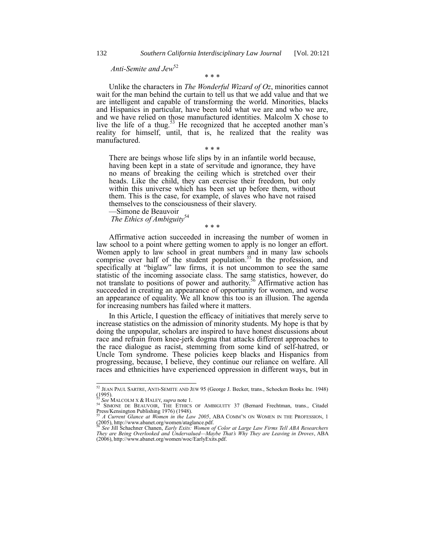# *Anti-Semite and Jew* 52

Unlike the characters in *The Wonderful Wizard of Oz*, minorities cannot wait for the man behind the curtain to tell us that we add value and that we are intelligent and capable of transforming the world. Minorities, blacks and Hispanics in particular, have been told what we are and who we are, and we have relied on those manufactured identities. Malcolm X chose to live the life of a thug.<sup>53</sup> He recognized that he accepted another man's reality for himself, until, that is, he realized that the reality was manufactured.

\* \* \*

\* \* \*

There are beings whose life slips by in an infantile world because, having been kept in a state of servitude and ignorance, they have no means of breaking the ceiling which is stretched over their heads. Like the child, they can exercise their freedom, but only within this universe which has been set up before them, without them. This is the case, for example, of slaves who have not raised themselves to the consciousness of their slavery.

—Simone de Beauvoir *The Ethics of Ambiguity*<sup>54</sup>

\* \* \*

Affirmative action succeeded in increasing the number of women in law school to a point where getting women to apply is no longer an effort. Women apply to law school in great numbers and in many law schools comprise over half of the student population.<sup>55</sup> In the profession, and specifically at "biglaw" law firms, it is not uncommon to see the same statistic of the incoming associate class. The same statistics, however, do not translate to positions of power and authority.<sup>56</sup> Affirmative action has succeeded in creating an appearance of opportunity for women, and worse an appearance of equality. We all know this too is an illusion. The agenda for increasing numbers has failed where it matters.

In this Article, I question the efficacy of initiatives that merely serve to increase statistics on the admission of minority students. My hope is that by doing the unpopular, scholars are inspired to have honest discussions about race and refrain from knee-jerk dogma that attacks different approaches to the race dialogue as racist, stemming from some kind of self-hatred, or Uncle Tom syndrome. These policies keep blacks and Hispanics from progressing, because, I believe, they continue our reliance on welfare. All races and ethnicities have experienced oppression in different ways, but in

<sup>52</sup> JEAN PAUL SARTRE, ANTI-SEMITE AND JEW 95 (George J. Becker, trans., Schocken Books Inc. 1948) (1995). <sup>53</sup> *See* MALCOLM X & HALEY, *supra* not[e 1.](#page-0-1)

<sup>&</sup>lt;sup>54</sup> SIMONE DE BEAUVOIR, THE ETHICS OF AMBIGUITY 37 (Bernard Frechtman, trans., Citadel Press/Kensington Publishing 1976) (1948).

<sup>55</sup> *A Current Glance at Women in the Law 2005*, ABA COMM'N ON WOMEN IN THE PROFESSION, 1 (2005), http://www.abanet.org/women/ataglance.pdf. <sup>56</sup> *See* Jill Schachner Chanen, *Early Exits: Women of Color at Large Law Firms Tell ABA Researchers* 

*They are Being Overlooked and Undervalued—Maybe That's Why They are Leaving in Droves*, ABA (2006), http://www.abanet.org/women/woc/EarlyExits.pdf.